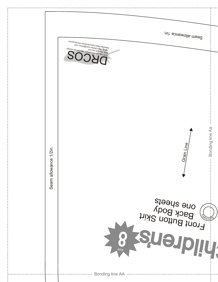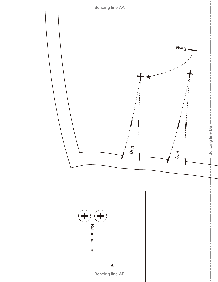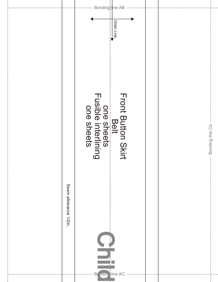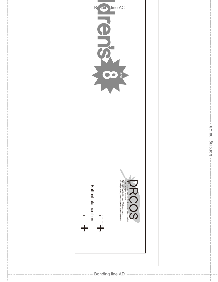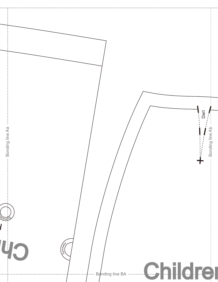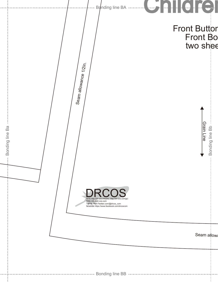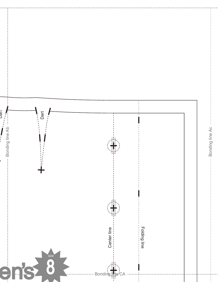